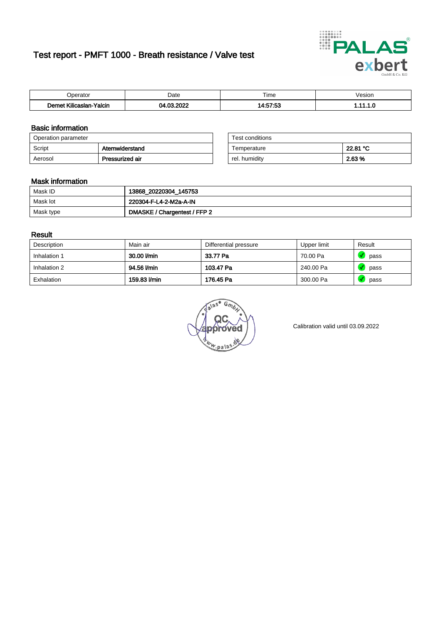# Test report - PMFT 1000 - Breath resistance / Valve test



| )perator    | Date   | $- \cdot$<br>Гіmе | esion |
|-------------|--------|-------------------|-------|
|             | 000    | 7.69              | .     |
| .           | $\sim$ | $A - E7$          |       |
| Yalcin      | м      | .u.               |       |
| Kilicaslan- | .      |                   |       |

### Basic information

| Operation parameter |                 | Test conditions |          |
|---------------------|-----------------|-----------------|----------|
| Script              | Atemwiderstand  | Temperature     | 22.81 °C |
| Aerosol             | Pressurized air | rel. humidity   | 2.63 %   |

| Test conditions |          |
|-----------------|----------|
| Temperature     | 22.81 °C |
| rel. humidity   | 2.63%    |

#### Mask information

| Mask ID   | 13868_20220304_145753        |
|-----------|------------------------------|
| Mask lot  | 220304-F-L4-2-M2a-A-IN       |
| Mask type | DMASKE / Chargentest / FFP 2 |

### Result

| Description  | Main air     | Differential pressure | Upper limit | Result |
|--------------|--------------|-----------------------|-------------|--------|
| Inhalation 1 | 30.00 l/min  | 33.77 Pa              | 70.00 Pa    | pass   |
| Inhalation 2 | 94.56 l/min  | 103.47 Pa             | 240.00 Pa   | pass   |
| Exhalation   | 159.83 l/min | 176.45 Pa             | 300.00 Pa   | pass   |

w.pala

Calibration valid until 03.09.2022